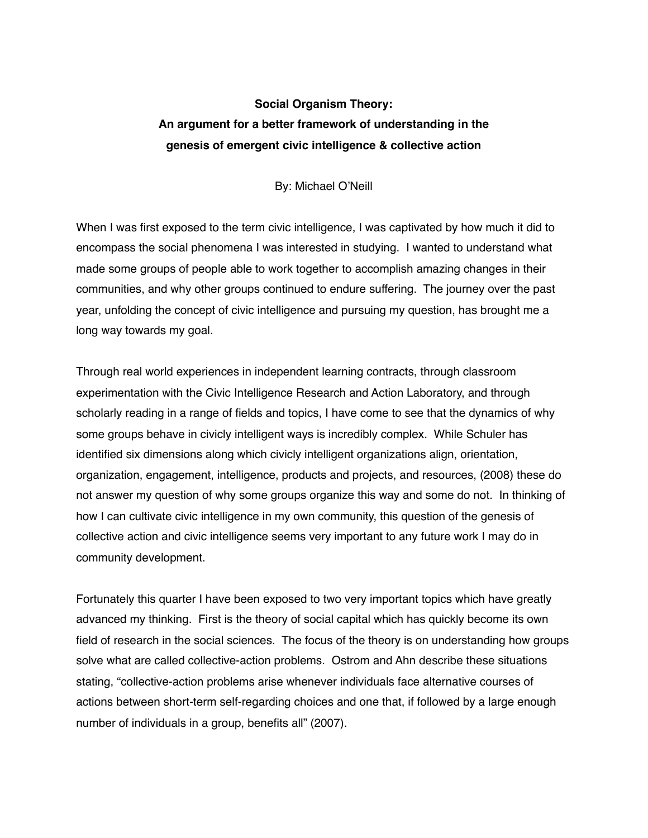## **Social Organism Theory: An argument for a better framework of understanding in the genesis of emergent civic intelligence & collective action**

By: Michael O'Neill

When I was first exposed to the term civic intelligence, I was captivated by how much it did to encompass the social phenomena I was interested in studying. I wanted to understand what made some groups of people able to work together to accomplish amazing changes in their communities, and why other groups continued to endure suffering. The journey over the past year, unfolding the concept of civic intelligence and pursuing my question, has brought me a long way towards my goal.

Through real world experiences in independent learning contracts, through classroom experimentation with the Civic Intelligence Research and Action Laboratory, and through scholarly reading in a range of fields and topics, I have come to see that the dynamics of why some groups behave in civicly intelligent ways is incredibly complex. While Schuler has identified six dimensions along which civicly intelligent organizations align, orientation, organization, engagement, intelligence, products and projects, and resources, (2008) these do not answer my question of why some groups organize this way and some do not. In thinking of how I can cultivate civic intelligence in my own community, this question of the genesis of collective action and civic intelligence seems very important to any future work I may do in community development.

Fortunately this quarter I have been exposed to two very important topics which have greatly advanced my thinking. First is the theory of social capital which has quickly become its own field of research in the social sciences. The focus of the theory is on understanding how groups solve what are called collective-action problems. Ostrom and Ahn describe these situations stating, "collective-action problems arise whenever individuals face alternative courses of actions between short-term self-regarding choices and one that, if followed by a large enough number of individuals in a group, benefits all" (2007).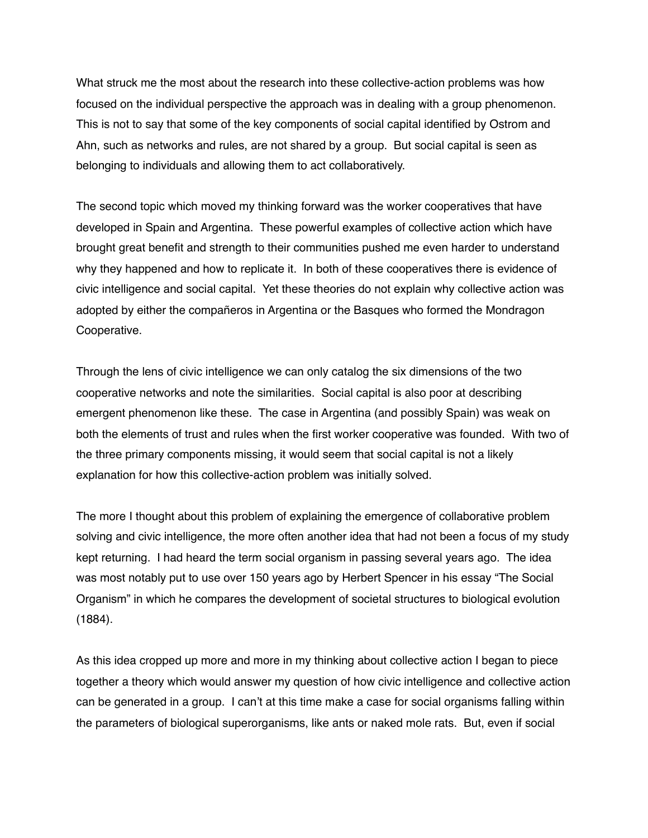What struck me the most about the research into these collective-action problems was how focused on the individual perspective the approach was in dealing with a group phenomenon. This is not to say that some of the key components of social capital identified by Ostrom and Ahn, such as networks and rules, are not shared by a group. But social capital is seen as belonging to individuals and allowing them to act collaboratively.

The second topic which moved my thinking forward was the worker cooperatives that have developed in Spain and Argentina. These powerful examples of collective action which have brought great benefit and strength to their communities pushed me even harder to understand why they happened and how to replicate it. In both of these cooperatives there is evidence of civic intelligence and social capital. Yet these theories do not explain why collective action was adopted by either the compañeros in Argentina or the Basques who formed the Mondragon Cooperative.

Through the lens of civic intelligence we can only catalog the six dimensions of the two cooperative networks and note the similarities. Social capital is also poor at describing emergent phenomenon like these. The case in Argentina (and possibly Spain) was weak on both the elements of trust and rules when the first worker cooperative was founded. With two of the three primary components missing, it would seem that social capital is not a likely explanation for how this collective-action problem was initially solved.

The more I thought about this problem of explaining the emergence of collaborative problem solving and civic intelligence, the more often another idea that had not been a focus of my study kept returning. I had heard the term social organism in passing several years ago. The idea was most notably put to use over 150 years ago by Herbert Spencer in his essay "The Social Organism" in which he compares the development of societal structures to biological evolution (1884).

As this idea cropped up more and more in my thinking about collective action I began to piece together a theory which would answer my question of how civic intelligence and collective action can be generated in a group. I can't at this time make a case for social organisms falling within the parameters of biological superorganisms, like ants or naked mole rats. But, even if social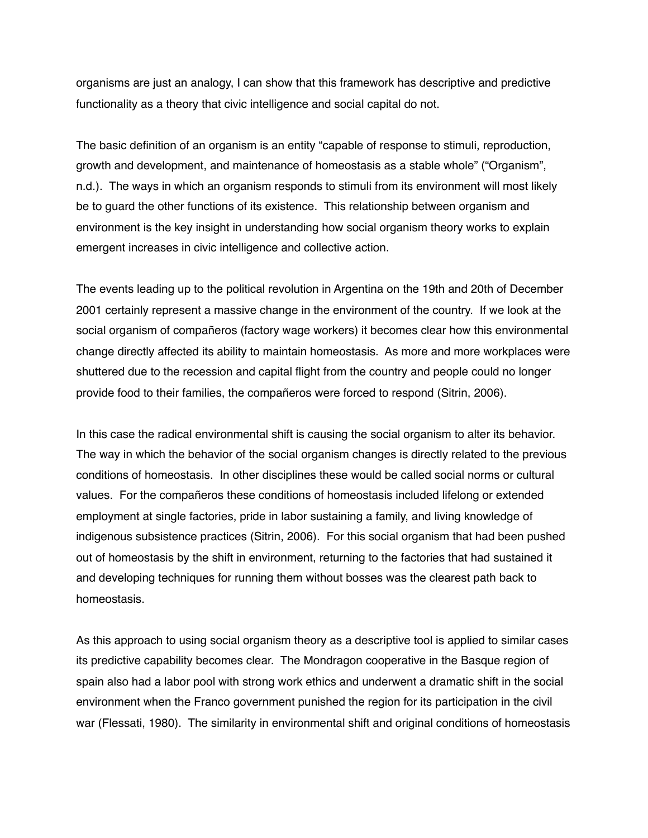organisms are just an analogy, I can show that this framework has descriptive and predictive functionality as a theory that civic intelligence and social capital do not.

The basic definition of an organism is an entity "capable of [response](http://en.wikipedia.org/wiki/Stimulus_(psychology)) to [stimuli](http://en.wikipedia.org/wiki/Stimulus_(physiology)), [reproduction,](http://en.wikipedia.org/wiki/Reproduction) growth and [development](http://en.wikipedia.org/wiki/Developmental_biology), and maintenance of [homeostasis](http://en.wikipedia.org/wiki/Homeostasis) as a stable whole" ("Organism", n.d.). The ways in which an organism responds to stimuli from its environment will most likely be to guard the other functions of its existence. This relationship between organism and environment is the key insight in understanding how social organism theory works to explain emergent increases in civic intelligence and collective action.

The events leading up to the political revolution in Argentina on the 19th and 20th of December 2001 certainly represent a massive change in the environment of the country. If we look at the social organism of compañeros (factory wage workers) it becomes clear how this environmental change directly affected its ability to maintain homeostasis. As more and more workplaces were shuttered due to the recession and capital flight from the country and people could no longer provide food to their families, the compañeros were forced to respond (Sitrin, 2006).

In this case the radical environmental shift is causing the social organism to alter its behavior. The way in which the behavior of the social organism changes is directly related to the previous conditions of homeostasis. In other disciplines these would be called social norms or cultural values. For the compañeros these conditions of homeostasis included lifelong or extended employment at single factories, pride in labor sustaining a family, and living knowledge of indigenous subsistence practices (Sitrin, 2006). For this social organism that had been pushed out of homeostasis by the shift in environment, returning to the factories that had sustained it and developing techniques for running them without bosses was the clearest path back to homeostasis.

As this approach to using social organism theory as a descriptive tool is applied to similar cases its predictive capability becomes clear. The Mondragon cooperative in the Basque region of spain also had a labor pool with strong work ethics and underwent a dramatic shift in the social environment when the Franco government punished the region for its participation in the civil war (Flessati, 1980). The similarity in environmental shift and original conditions of homeostasis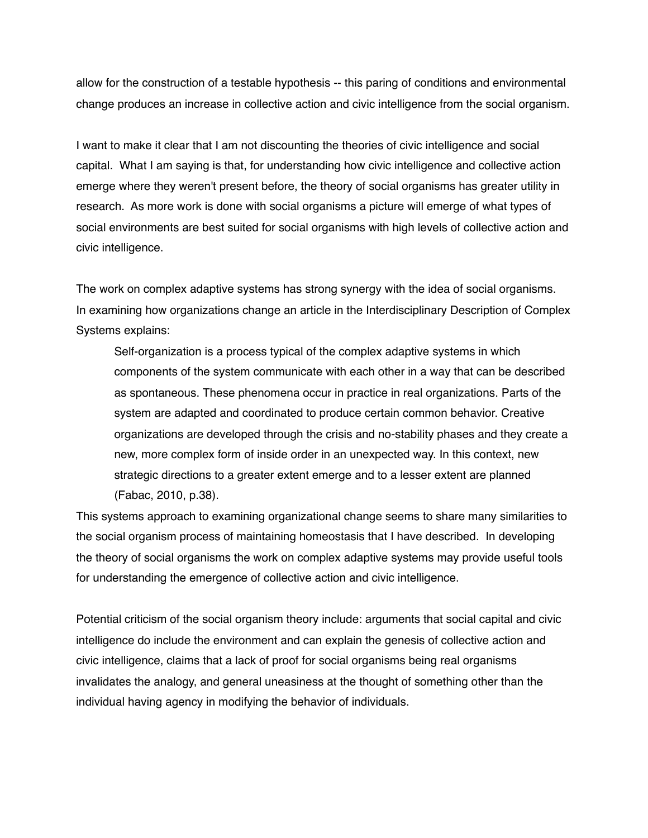allow for the construction of a testable hypothesis -- this paring of conditions and environmental change produces an increase in collective action and civic intelligence from the social organism.

I want to make it clear that I am not discounting the theories of civic intelligence and social capital. What I am saying is that, for understanding how civic intelligence and collective action emerge where they weren't present before, the theory of social organisms has greater utility in research. As more work is done with social organisms a picture will emerge of what types of social environments are best suited for social organisms with high levels of collective action and civic intelligence.

The work on complex adaptive systems has strong synergy with the idea of social organisms. In examining how organizations change an article in the Interdisciplinary Description of Complex Systems explains:

Self-organization is a process typical of the complex adaptive systems in which components of the system communicate with each other in a way that can be described as spontaneous. These phenomena occur in practice in real organizations. Parts of the system are adapted and coordinated to produce certain common behavior. Creative organizations are developed through the crisis and no-stability phases and they create a new, more complex form of inside order in an unexpected way. In this context, new strategic directions to a greater extent emerge and to a lesser extent are planned (Fabac, 2010, p.38).

This systems approach to examining organizational change seems to share many similarities to the social organism process of maintaining homeostasis that I have described. In developing the theory of social organisms the work on complex adaptive systems may provide useful tools for understanding the emergence of collective action and civic intelligence.

Potential criticism of the social organism theory include: arguments that social capital and civic intelligence do include the environment and can explain the genesis of collective action and civic intelligence, claims that a lack of proof for social organisms being real organisms invalidates the analogy, and general uneasiness at the thought of something other than the individual having agency in modifying the behavior of individuals.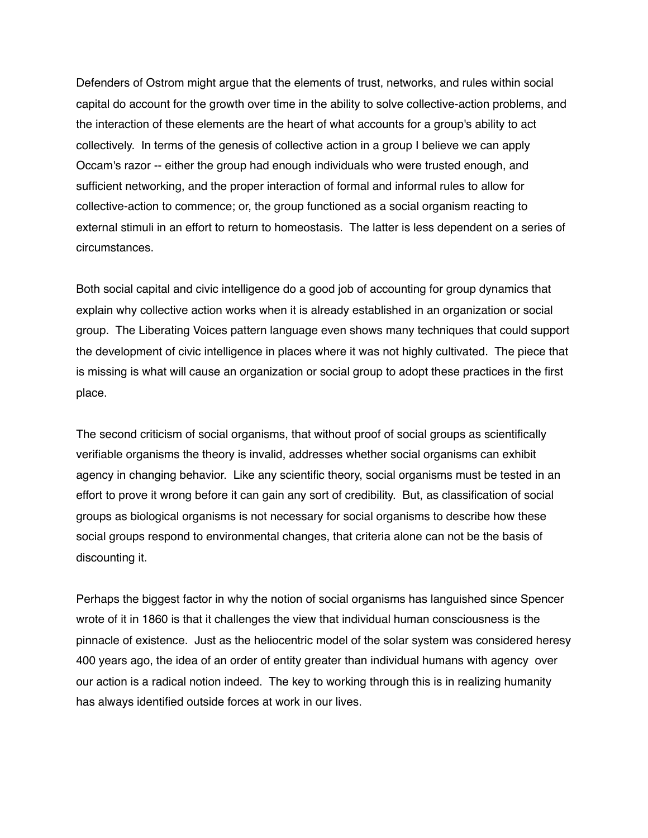Defenders of Ostrom might argue that the elements of trust, networks, and rules within social capital do account for the growth over time in the ability to solve collective-action problems, and the interaction of these elements are the heart of what accounts for a group's ability to act collectively. In terms of the genesis of collective action in a group I believe we can apply Occam's razor -- either the group had enough individuals who were trusted enough, and sufficient networking, and the proper interaction of formal and informal rules to allow for collective-action to commence; or, the group functioned as a social organism reacting to external stimuli in an effort to return to homeostasis. The latter is less dependent on a series of circumstances.

Both social capital and civic intelligence do a good job of accounting for group dynamics that explain why collective action works when it is already established in an organization or social group. The Liberating Voices pattern language even shows many techniques that could support the development of civic intelligence in places where it was not highly cultivated. The piece that is missing is what will cause an organization or social group to adopt these practices in the first place.

The second criticism of social organisms, that without proof of social groups as scientifically verifiable organisms the theory is invalid, addresses whether social organisms can exhibit agency in changing behavior. Like any scientific theory, social organisms must be tested in an effort to prove it wrong before it can gain any sort of credibility. But, as classification of social groups as biological organisms is not necessary for social organisms to describe how these social groups respond to environmental changes, that criteria alone can not be the basis of discounting it.

Perhaps the biggest factor in why the notion of social organisms has languished since Spencer wrote of it in 1860 is that it challenges the view that individual human consciousness is the pinnacle of existence. Just as the heliocentric model of the solar system was considered heresy 400 years ago, the idea of an order of entity greater than individual humans with agency over our action is a radical notion indeed. The key to working through this is in realizing humanity has always identified outside forces at work in our lives.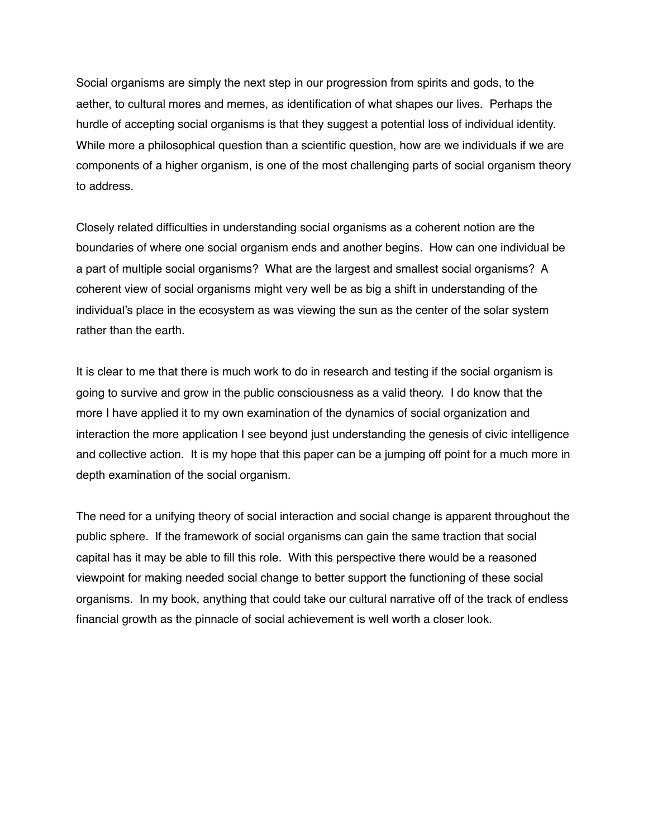Social organisms are simply the next step in our progression from spirits and gods, to the aether, to cultural mores and memes, as identification of what shapes our lives. Perhaps the hurdle of accepting social organisms is that they suggest a potential loss of individual identity. While more a philosophical question than a scientific question, how are we individuals if we are components of a higher organism, is one of the most challenging parts of social organism theory to address.

Closely related difficulties in understanding social organisms as a coherent notion are the boundaries of where one social organism ends and another begins. How can one individual be a part of multiple social organisms? What are the largest and smallest social organisms? A coherent view of social organisms might very well be as big a shift in understanding of the individual's place in the ecosystem as was viewing the sun as the center of the solar system rather than the earth.

It is clear to me that there is much work to do in research and testing if the social organism is going to survive and grow in the public consciousness as a valid theory. I do know that the more I have applied it to my own examination of the dynamics of social organization and interaction the more application I see beyond just understanding the genesis of civic intelligence and collective action. It is my hope that this paper can be a jumping off point for a much more in depth examination of the social organism.

The need for a unifying theory of social interaction and social change is apparent throughout the public sphere. If the framework of social organisms can gain the same traction that social capital has it may be able to fill this role. With this perspective there would be a reasoned viewpoint for making needed social change to better support the functioning of these social organisms. In my book, anything that could take our cultural narrative off of the track of endless financial growth as the pinnacle of social achievement is well worth a closer look.